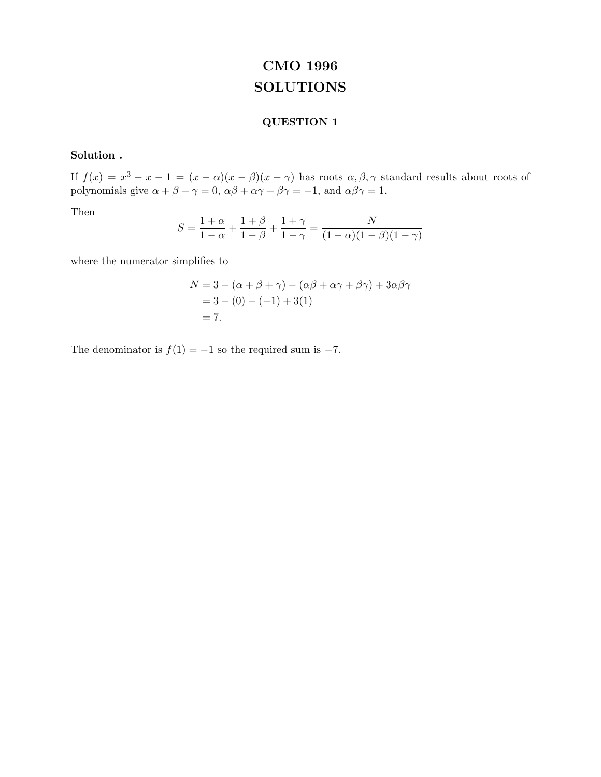# **CMO 1996 SOLUTIONS**

## **QUESTION 1**

## **Solution .**

If  $f(x) = x^3 - x - 1 = (x - \alpha)(x - \beta)(x - \gamma)$  has roots  $\alpha, \beta, \gamma$  standard results about roots of polynomials give  $\alpha + \beta + \gamma = 0$ ,  $\alpha\beta + \alpha\gamma + \beta\gamma = -1$ , and  $\alpha\beta\gamma = 1$ .

Then

$$
S = \frac{1+\alpha}{1-\alpha} + \frac{1+\beta}{1-\beta} + \frac{1+\gamma}{1-\gamma} = \frac{N}{(1-\alpha)(1-\beta)(1-\gamma)}
$$

where the numerator simplifies to

$$
N = 3 - (\alpha + \beta + \gamma) - (\alpha\beta + \alpha\gamma + \beta\gamma) + 3\alpha\beta\gamma = 3 - (0) - (-1) + 3(1) = 7.
$$

The denominator is  $f(1) = -1$  so the required sum is  $-7$ .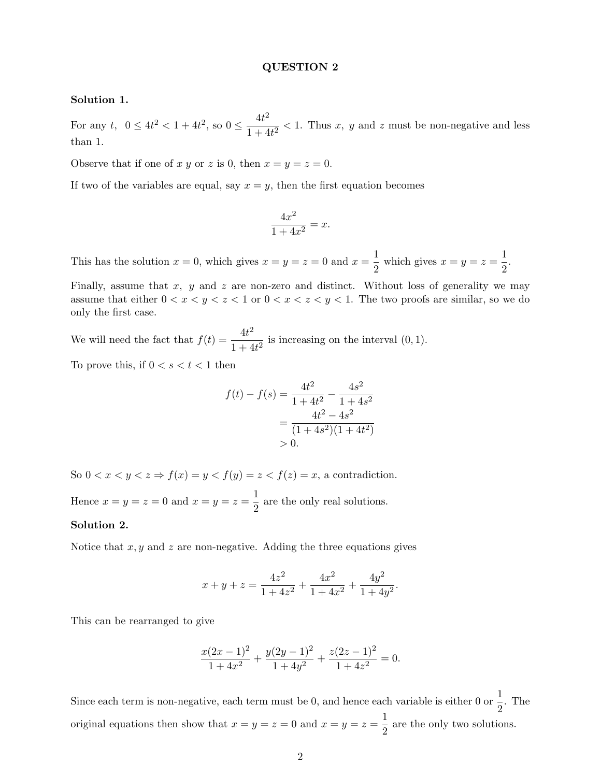#### **QUESTION 2**

#### **Solution 1.**

For any  $t$ ,  $0 \le 4t^2 < 1+4t^2$ , so  $0 \le \frac{4t^2}{1+4t^2} < 1$ . Thus x, y and z must be non-negative and less than 1.

Observe that if one of x y or z is 0, then  $x = y = z = 0$ .

If two of the variables are equal, say  $x = y$ , then the first equation becomes

$$
\frac{4x^2}{1+4x^2} = x.
$$

This has the solution  $x = 0$ , which gives  $x = y = z = 0$  and  $x = \frac{1}{2}$  which gives  $x = y = z = \frac{1}{2}$ .

Finally, assume that  $x$ ,  $y$  and  $z$  are non-zero and distinct. Without loss of generality we may assume that either  $0 < x < y < z < 1$  or  $0 < x < z < y < 1$ . The two proofs are similar, so we do only the first case.

We will need the fact that  $f(t) = \frac{4t^2}{1+4t^2}$  is increasing on the interval  $(0, 1)$ .

To prove this, if  $0 < s < t < 1$  then

$$
f(t) - f(s) = \frac{4t^2}{1 + 4t^2} - \frac{4s^2}{1 + 4s^2}
$$

$$
= \frac{4t^2 - 4s^2}{(1 + 4s^2)(1 + 4t^2)}
$$

$$
> 0.
$$

So  $0 < x < y < z \Rightarrow f(x) = y < f(y) = z < f(z) = x$ , a contradiction.

Hence  $x = y = z = 0$  and  $x = y = z = \frac{1}{2}$  are the only real solutions.

#### **Solution 2.**

Notice that  $x, y$  and z are non-negative. Adding the three equations gives

$$
x + y + z = \frac{4z^2}{1 + 4z^2} + \frac{4x^2}{1 + 4x^2} + \frac{4y^2}{1 + 4y^2}.
$$

This can be rearranged to give

$$
\frac{x(2x-1)^2}{1+4x^2} + \frac{y(2y-1)^2}{1+4y^2} + \frac{z(2z-1)^2}{1+4z^2} = 0.
$$

Since each term is non-negative, each term must be 0, and hence each variable is either 0 or  $\frac{1}{2}$ . The original equations then show that  $x = y = z = 0$  and  $x = y = z = \frac{1}{2}$  are the only two solutions.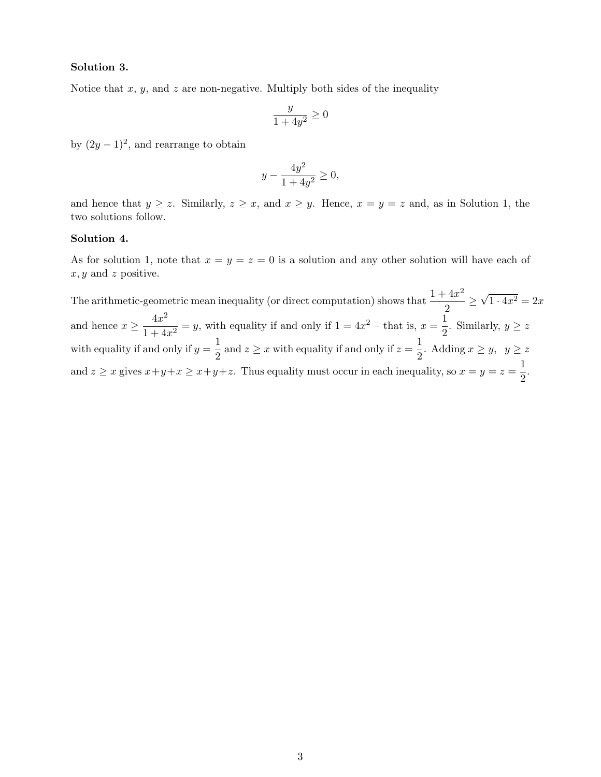#### **Solution 3.**

Notice that  $x, y$ , and  $z$  are non-negative. Multiply both sides of the inequality

$$
\frac{y}{1+4y^2} \ge 0
$$

by  $(2y - 1)^2$ , and rearrange to obtain

$$
y - \frac{4y^2}{1 + 4y^2} \ge 0,
$$

and hence that  $y \ge z$ . Similarly,  $z \ge x$ , and  $x \ge y$ . Hence,  $x = y = z$  and, as in Solution 1, the two solutions follow.

#### **Solution 4.**

As for solution 1, note that  $x = y = z = 0$  is a solution and any other solution will have each of  $x, y$  and z positive.

The arithmetic-geometric mean inequality (or direct computation) shows that  $\frac{1+4x^2}{2} \ge \sqrt{1\cdot 4x^2} = 2x$ and hence  $x \ge \frac{4x^2}{1+4x^2} = y$ , with equality if and only if  $1 = 4x^2$  – that is,  $x = \frac{1}{2}$ . Similarly,  $y \ge z$ with equality if and only if  $y = \frac{1}{2}$  and  $z \ge x$  with equality if and only if  $z = \frac{1}{2}$ . Adding  $x \ge y$ ,  $y \ge z$ and  $z \ge x$  gives  $x+y+x \ge x+y+z$ . Thus equality must occur in each inequality, so  $x = y = z = \frac{1}{2}$ .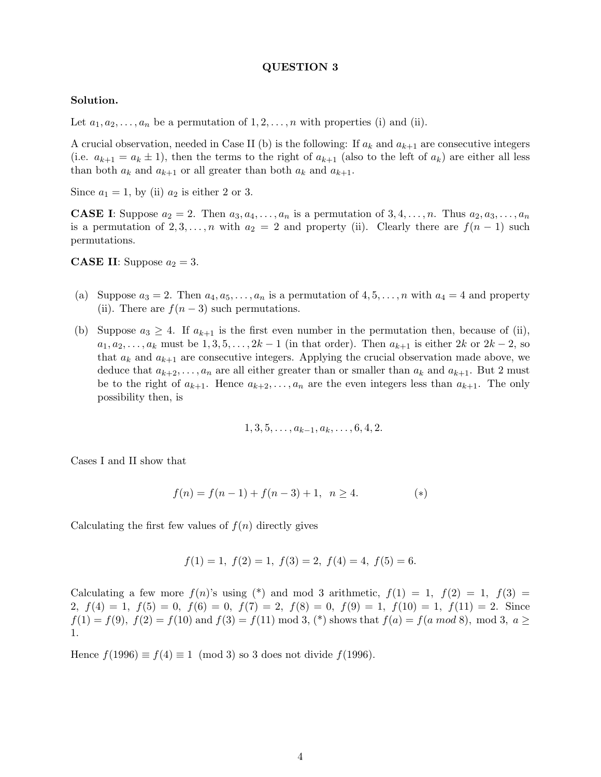#### **QUESTION 3**

#### **Solution.**

Let  $a_1, a_2, \ldots, a_n$  be a permutation of  $1, 2, \ldots, n$  with properties (i) and (ii).

A crucial observation, needed in Case II (b) is the following: If  $a_k$  and  $a_{k+1}$  are consecutive integers (i.e.  $a_{k+1} = a_k \pm 1$ ), then the terms to the right of  $a_{k+1}$  (also to the left of  $a_k$ ) are either all less than both  $a_k$  and  $a_{k+1}$  or all greater than both  $a_k$  and  $a_{k+1}$ .

Since  $a_1 = 1$ , by (ii)  $a_2$  is either 2 or 3.

**CASE I**: Suppose  $a_2 = 2$ . Then  $a_3, a_4, \ldots, a_n$  is a permutation of  $3, 4, \ldots, n$ . Thus  $a_2, a_3, \ldots, a_n$ is a permutation of 2, 3,...,n with  $a_2 = 2$  and property (ii). Clearly there are  $f(n-1)$  such permutations.

**CASE II**: Suppose  $a_2 = 3$ .

- (a) Suppose  $a_3 = 2$ . Then  $a_4, a_5, \ldots, a_n$  is a permutation of  $4, 5, \ldots, n$  with  $a_4 = 4$  and property (ii). There are  $f(n-3)$  such permutations.
- (b) Suppose  $a_3 \geq 4$ . If  $a_{k+1}$  is the first even number in the permutation then, because of (ii),  $a_1, a_2, \ldots, a_k$  must be  $1, 3, 5, \ldots, 2k-1$  (in that order). Then  $a_{k+1}$  is either  $2k$  or  $2k-2$ , so that  $a_k$  and  $a_{k+1}$  are consecutive integers. Applying the crucial observation made above, we deduce that  $a_{k+2},...,a_n$  are all either greater than or smaller than  $a_k$  and  $a_{k+1}$ . But 2 must be to the right of  $a_{k+1}$ . Hence  $a_{k+2},...,a_n$  are the even integers less than  $a_{k+1}$ . The only possibility then, is

$$
1, 3, 5, \ldots, a_{k-1}, a_k, \ldots, 6, 4, 2.
$$

Cases I and II show that

$$
f(n) = f(n-1) + f(n-3) + 1, \ \ n \ge 4. \tag{*}
$$

Calculating the first few values of  $f(n)$  directly gives

$$
f(1) = 1
$$
,  $f(2) = 1$ ,  $f(3) = 2$ ,  $f(4) = 4$ ,  $f(5) = 6$ .

Calculating a few more  $f(n)$ 's using (\*) and mod 3 arithmetic,  $f(1) = 1$ ,  $f(2) = 1$ ,  $f(3) =$ 2,  $f(4) = 1$ ,  $f(5) = 0$ ,  $f(6) = 0$ ,  $f(7) = 2$ ,  $f(8) = 0$ ,  $f(9) = 1$ ,  $f(10) = 1$ ,  $f(11) = 2$ . Since  $f(1) = f(9)$ ,  $f(2) = f(10)$  and  $f(3) = f(11)$  mod 3,  $(*)$  shows that  $f(a) = f(a \mod 8)$ , mod 3,  $a \ge$ 1.

Hence  $f(1996) \equiv f(4) \equiv 1 \pmod{3}$  so 3 does not divide  $f(1996)$ .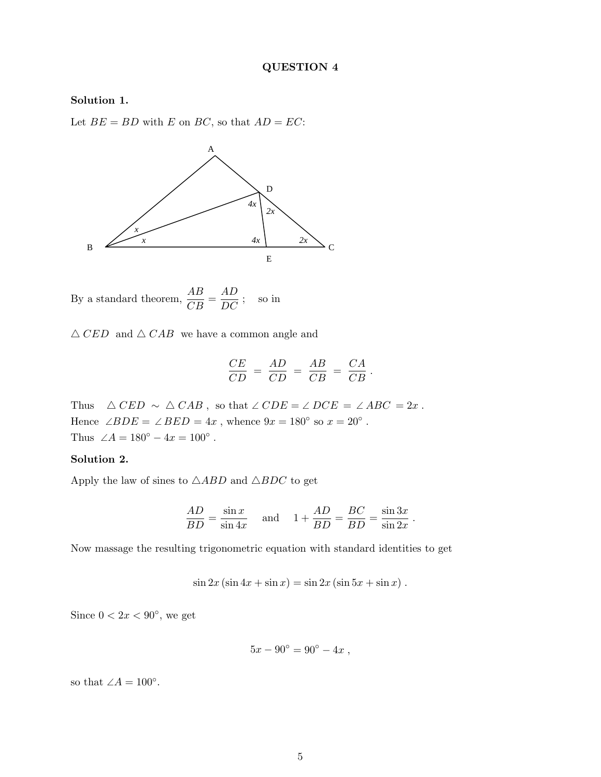### **Solution 1.**

Let  $BE = BD$  with E on BC, so that  $AD = EC$ :



By a standard theorem,  $\frac{AB}{CB} = \frac{AD}{DC}$ ; so in

 $\triangle$  CED and  $\triangle$  CAB we have a common angle and

$$
\frac{CE}{CD} = \frac{AD}{CD} = \frac{AB}{CB} = \frac{CA}{CB}.
$$

Thus  $\triangle$  CED  $\sim \triangle$  CAB, so that  $\angle$  CDE =  $\angle$  DCE =  $\angle$  ABC = 2x. Hence ∠ $BDE = \angle BED = 4x$ , whence  $9x = 180^\circ$  so  $x = 20^\circ$ . Thus  $\angle A = 180^{\circ} - 4x = 100^{\circ}$ .

## **Solution 2.**

Apply the law of sines to  $\triangle ABD$  and  $\triangle BDC$  to get

$$
\frac{AD}{BD} = \frac{\sin x}{\sin 4x} \quad \text{and} \quad 1 + \frac{AD}{BD} = \frac{BC}{BD} = \frac{\sin 3x}{\sin 2x} \, .
$$

Now massage the resulting trigonometric equation with standard identities to get

$$
\sin 2x (\sin 4x + \sin x) = \sin 2x (\sin 5x + \sin x).
$$

Since  $0 < 2x < 90^{\circ}$ , we get

$$
5x - 90^{\circ} = 90^{\circ} - 4x ,
$$

so that  $∠A = 100°$ .